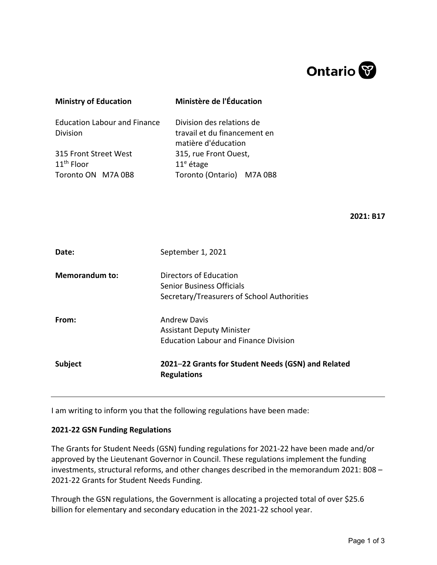

| <b>Ministry of Education</b>                                | Ministère de l'Éducation                                                         |  |
|-------------------------------------------------------------|----------------------------------------------------------------------------------|--|
| <b>Education Labour and Finance</b><br><b>Division</b>      | Division des relations de<br>travail et du financement en<br>matière d'éducation |  |
| 315 Front Street West<br>$11th$ Floor<br>Toronto ON M7A 0B8 | 315, rue Front Ouest,<br>$11e$ étage<br>Toronto (Ontario) M7A 0B8                |  |

**2021: B17**

| Date:                 | September 1, 2021                                                                                       |
|-----------------------|---------------------------------------------------------------------------------------------------------|
| <b>Memorandum to:</b> | Directors of Education<br>Senior Business Officials<br>Secretary/Treasurers of School Authorities       |
| From:                 | <b>Andrew Davis</b><br><b>Assistant Deputy Minister</b><br><b>Education Labour and Finance Division</b> |
| <b>Subject</b>        | 2021–22 Grants for Student Needs (GSN) and Related<br><b>Regulations</b>                                |

I am writing to inform you that the following regulations have been made:

## **2021-22 GSN Funding Regulations**

The Grants for Student Needs (GSN) funding regulations for 2021-22 have been made and/or approved by the Lieutenant Governor in Council. These regulations implement the funding investments, structural reforms, and other changes described in the memorandum 2021: B08 – 2021-22 Grants for Student Needs Funding.

Through the GSN regulations, the Government is allocating a projected total of over \$25.6 billion for elementary and secondary education in the 2021-22 school year.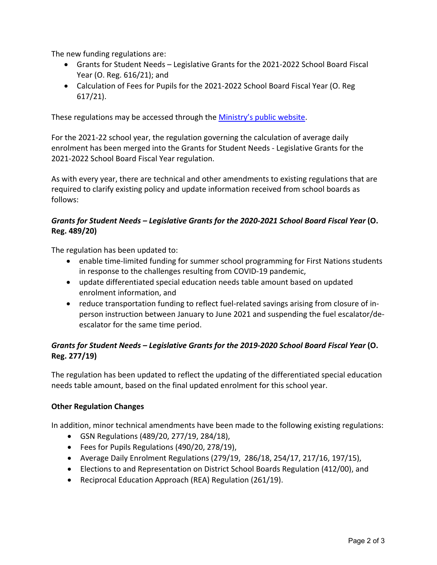The new funding regulations are:

- Grants for Student Needs Legislative Grants for the 2021-2022 School Board Fiscal Year (O. Reg. 616/21); and
- Calculation of Fees for Pupils for the 2021-2022 School Board Fiscal Year (O. Reg 617/21).

These regulations may be accessed through the [Ministry's public website.](http://www.edu.gov.on.ca/eng/policyfunding/funding.html)

For the 2021-22 school year, the regulation governing the calculation of average daily enrolment has been merged into the Grants for Student Needs - Legislative Grants for the 2021-2022 School Board Fiscal Year regulation.

As with every year, there are technical and other amendments to existing regulations that are required to clarify existing policy and update information received from school boards as follows:

## *Grants for Student Needs – Legislative Grants for the 2020-2021 School Board Fiscal Year* **(O. Reg. 489/20)**

The regulation has been updated to:

- enable time-limited funding for summer school programming for First Nations students in response to the challenges resulting from COVID-19 pandemic,
- update differentiated special education needs table amount based on updated enrolment information, and
- reduce transportation funding to reflect fuel-related savings arising from closure of inperson instruction between January to June 2021 and suspending the fuel escalator/deescalator for the same time period.

## *Grants for Student Needs – Legislative Grants for the 2019-2020 School Board Fiscal Year* **(O. Reg. 277/19)**

The regulation has been updated to reflect the updating of the differentiated special education needs table amount, based on the final updated enrolment for this school year.

## **Other Regulation Changes**

In addition, minor technical amendments have been made to the following existing regulations:

- GSN Regulations (489/20, 277/19, 284/18),
- Fees for Pupils Regulations (490/20, 278/19),
- Average Daily Enrolment Regulations (279/19, 286/18, 254/17, 217/16, 197/15),
- Elections to and Representation on District School Boards Regulation (412/00), and
- Reciprocal Education Approach (REA) Regulation (261/19).